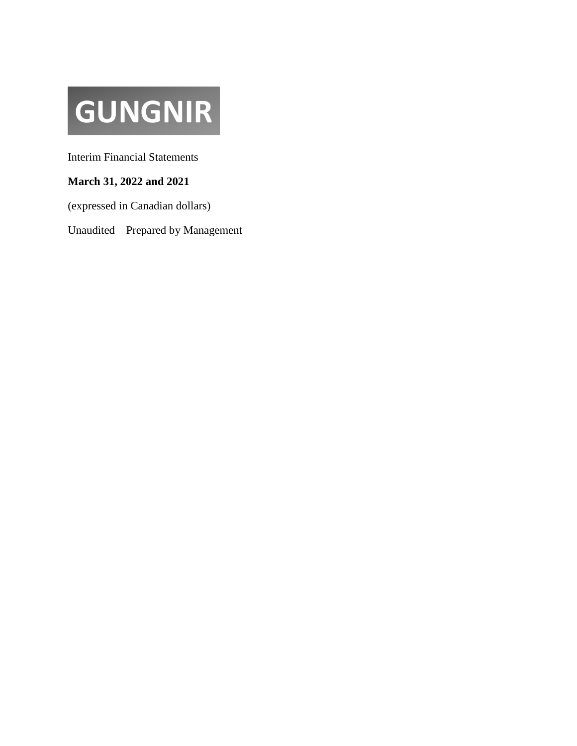# **GUNGNIR**

Interim Financial Statements

### **March 31, 2022 and 2021**

(expressed in Canadian dollars)

Unaudited – Prepared by Management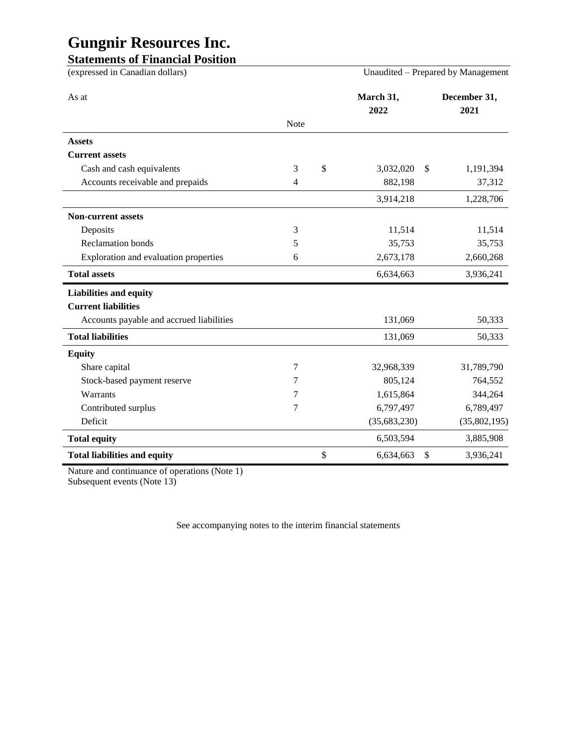### **Statements of Financial Position**

| (expressed in Canadian dollars)          |                | Unaudited – Prepared by Management |                      |  |
|------------------------------------------|----------------|------------------------------------|----------------------|--|
| As at                                    |                | March 31,<br>2022                  | December 31,<br>2021 |  |
|                                          | <b>Note</b>    |                                    |                      |  |
| <b>Assets</b>                            |                |                                    |                      |  |
| <b>Current assets</b>                    |                |                                    |                      |  |
| Cash and cash equivalents                | 3              | \$<br>3,032,020                    | \$<br>1,191,394      |  |
| Accounts receivable and prepaids         | $\overline{4}$ | 882,198                            | 37,312               |  |
|                                          |                | 3,914,218                          | 1,228,706            |  |
| <b>Non-current assets</b>                |                |                                    |                      |  |
| Deposits                                 | 3              | 11,514                             | 11,514               |  |
| <b>Reclamation</b> bonds                 | 5              | 35,753                             | 35,753               |  |
| Exploration and evaluation properties    | 6              | 2,673,178                          | 2,660,268            |  |
| <b>Total assets</b>                      |                | 6,634,663                          | 3,936,241            |  |
| <b>Liabilities and equity</b>            |                |                                    |                      |  |
| <b>Current liabilities</b>               |                |                                    |                      |  |
| Accounts payable and accrued liabilities |                | 131,069                            | 50,333               |  |
| <b>Total liabilities</b>                 |                | 131,069                            | 50,333               |  |
| <b>Equity</b>                            |                |                                    |                      |  |
| Share capital                            | 7              | 32,968,339                         | 31,789,790           |  |
| Stock-based payment reserve              | 7              | 805,124                            | 764,552              |  |
| Warrants                                 | 7              | 1,615,864                          | 344,264              |  |
| Contributed surplus                      | 7              | 6,797,497                          | 6,789,497            |  |
| Deficit                                  |                | (35,683,230)                       | (35,802,195)         |  |
| <b>Total equity</b>                      |                | 6,503,594                          | 3,885,908            |  |
| <b>Total liabilities and equity</b>      |                | \$<br>6,634,663                    | \$<br>3,936,241      |  |

Nature and continuance of operations (Note 1) Subsequent events (Note 13)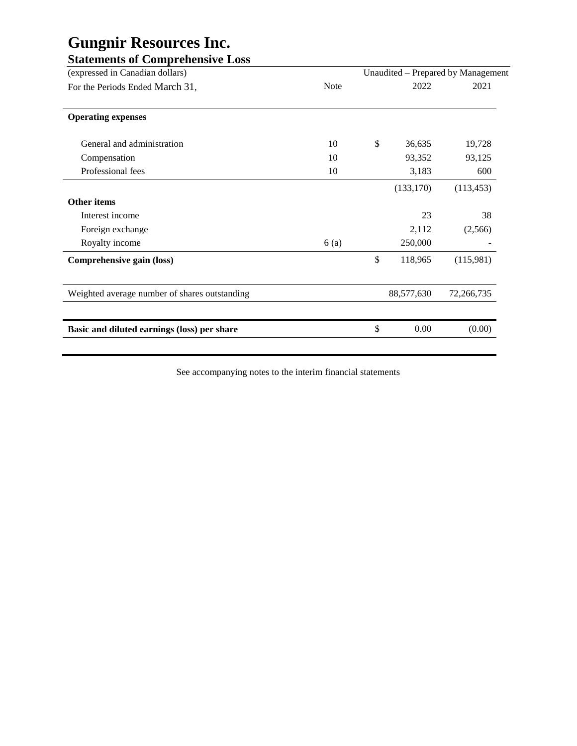| <b>Note</b> | 2022          | 2021                               |
|-------------|---------------|------------------------------------|
|             |               |                                    |
| 10          | \$<br>36,635  | 19,728                             |
| 10          | 93,352        | 93,125                             |
| 10          | 3,183         | 600                                |
|             | (133, 170)    | (113, 453)                         |
|             |               |                                    |
|             | 23            | 38                                 |
|             | 2,112         | (2,566)                            |
| 6(a)        | 250,000       |                                    |
|             | \$<br>118,965 | (115,981)                          |
|             | 88,577,630    | 72,266,735                         |
|             |               |                                    |
|             | \$<br>0.00    | (0.00)                             |
|             |               | Unaudited - Prepared by Management |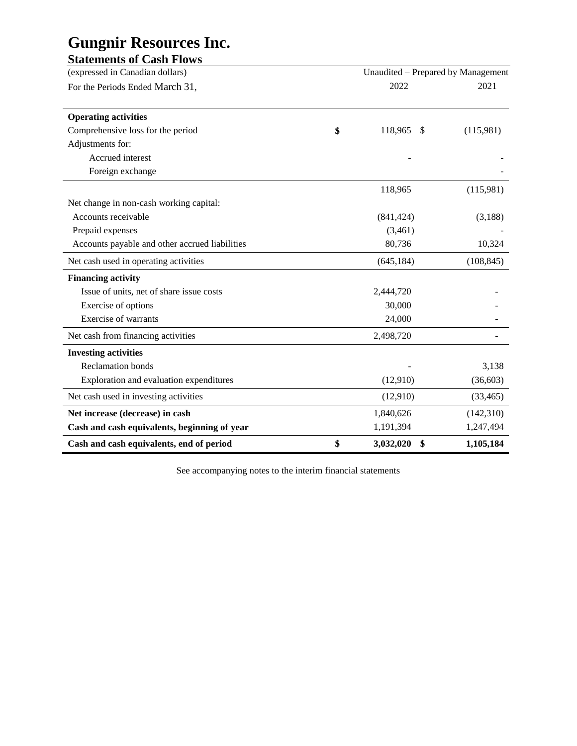| $\overline{\phantom{a}}$        |  |
|---------------------------------|--|
| <b>Statements of Cash Flows</b> |  |

| (expressed in Canadian dollars)                | Unaudited – Prepared by Management |            |
|------------------------------------------------|------------------------------------|------------|
| For the Periods Ended March 31,                | 2022                               | 2021       |
|                                                |                                    |            |
| <b>Operating activities</b>                    |                                    |            |
| Comprehensive loss for the period              | \$<br>118,965<br>-\$               | (115,981)  |
| Adjustments for:                               |                                    |            |
| Accrued interest                               |                                    |            |
| Foreign exchange                               |                                    |            |
|                                                | 118,965                            | (115,981)  |
| Net change in non-cash working capital:        |                                    |            |
| Accounts receivable                            | (841, 424)                         | (3,188)    |
| Prepaid expenses                               | (3,461)                            |            |
| Accounts payable and other accrued liabilities | 80,736                             | 10,324     |
| Net cash used in operating activities          | (645, 184)                         | (108, 845) |
| <b>Financing activity</b>                      |                                    |            |
| Issue of units, net of share issue costs       | 2,444,720                          |            |
| Exercise of options                            | 30,000                             |            |
| <b>Exercise of warrants</b>                    | 24,000                             |            |
| Net cash from financing activities             | 2,498,720                          |            |
| <b>Investing activities</b>                    |                                    |            |
| <b>Reclamation</b> bonds                       |                                    | 3,138      |
| Exploration and evaluation expenditures        | (12,910)                           | (36,603)   |
| Net cash used in investing activities          | (12,910)                           | (33, 465)  |
| Net increase (decrease) in cash                | 1,840,626                          | (142,310)  |
| Cash and cash equivalents, beginning of year   | 1,191,394                          | 1,247,494  |
| Cash and cash equivalents, end of period       | \$<br>3,032,020<br>\$              | 1,105,184  |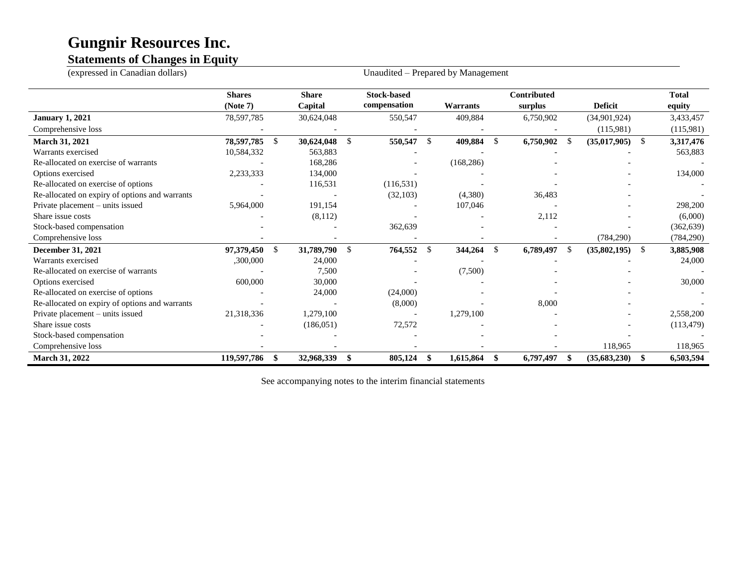### **Statements of Changes in Equity**

| (expressed in Canadian dollars)                | Unaudited - Prepared by Management |               |              |               |                    |               |                 |     |                    |      |                |      |              |
|------------------------------------------------|------------------------------------|---------------|--------------|---------------|--------------------|---------------|-----------------|-----|--------------------|------|----------------|------|--------------|
|                                                | <b>Shares</b>                      |               | <b>Share</b> |               | <b>Stock-based</b> |               |                 |     | <b>Contributed</b> |      |                |      | <b>Total</b> |
|                                                | (Note 7)                           |               | Capital      |               | compensation       |               | <b>Warrants</b> |     | surplus            |      | <b>Deficit</b> |      | equity       |
| <b>January 1, 2021</b>                         | 78,597,785                         |               | 30,624,048   |               | 550,547            |               | 409,884         |     | 6,750,902          |      | (34,901,924)   |      | 3,433,457    |
| Comprehensive loss                             |                                    |               |              |               |                    |               |                 |     |                    |      | (115,981)      |      | (115,981)    |
| <b>March 31, 2021</b>                          | 78,597,785                         | $\mathbb{S}$  | 30,624,048   | $\mathbb{S}$  | 550,547            | <sup>\$</sup> | 409,884         | -S  | 6,750,902          | - \$ | (35,017,905)   | - \$ | 3,317,476    |
| Warrants exercised                             | 10,584,332                         |               | 563,883      |               |                    |               |                 |     |                    |      |                |      | 563,883      |
| Re-allocated on exercise of warrants           |                                    |               | 168,286      |               |                    |               | (168, 286)      |     |                    |      |                |      |              |
| Options exercised                              | 2,233,333                          |               | 134,000      |               |                    |               |                 |     |                    |      |                |      | 134,000      |
| Re-allocated on exercise of options            |                                    |               | 116,531      |               | (116, 531)         |               |                 |     |                    |      |                |      |              |
| Re-allocated on expiry of options and warrants |                                    |               |              |               | (32,103)           |               | (4,380)         |     | 36,483             |      |                |      |              |
| Private placement - units issued               | 5,964,000                          |               | 191,154      |               |                    |               | 107,046         |     |                    |      |                |      | 298,200      |
| Share issue costs                              |                                    |               | (8,112)      |               |                    |               |                 |     | 2,112              |      |                |      | (6,000)      |
| Stock-based compensation                       |                                    |               |              |               | 362,639            |               |                 |     |                    |      |                |      | (362, 639)   |
| Comprehensive loss                             |                                    |               |              |               |                    |               |                 |     |                    |      | (784, 290)     |      | (784, 290)   |
| December 31, 2021                              | 97,379,450                         | <sup>\$</sup> | 31,789,790   | $\mathcal{S}$ | 764,552            | $\mathbb{S}$  | 344,264         | \$  | 6,789,497          | -\$  | (35,802,195)   | -\$  | 3,885,908    |
| Warrants exercised                             | ,300,000                           |               | 24,000       |               |                    |               |                 |     |                    |      |                |      | 24,000       |
| Re-allocated on exercise of warrants           |                                    |               | 7,500        |               |                    |               | (7,500)         |     |                    |      |                |      |              |
| Options exercised                              | 600,000                            |               | 30,000       |               |                    |               |                 |     |                    |      |                |      | 30,000       |
| Re-allocated on exercise of options            |                                    |               | 24,000       |               | (24,000)           |               |                 |     |                    |      |                |      |              |
| Re-allocated on expiry of options and warrants |                                    |               |              |               | (8,000)            |               |                 |     | 8,000              |      |                |      |              |
| Private placement – units issued               | 21,318,336                         |               | 1,279,100    |               |                    |               | 1,279,100       |     |                    |      |                |      | 2,558,200    |
| Share issue costs                              |                                    |               | (186, 051)   |               | 72,572             |               |                 |     |                    |      |                |      | (113, 479)   |
| Stock-based compensation                       |                                    |               |              |               |                    |               |                 |     |                    |      |                |      |              |
| Comprehensive loss                             |                                    |               |              |               |                    |               |                 |     |                    |      | 118,965        |      | 118,965      |
| <b>March 31, 2022</b>                          | 119,597,786                        | \$            | 32,968,339   | \$            | 805,124            | - \$          | 1,615,864       | SS. | 6,797,497          | -\$  | (35,683,230)   | -\$  | 6,503,594    |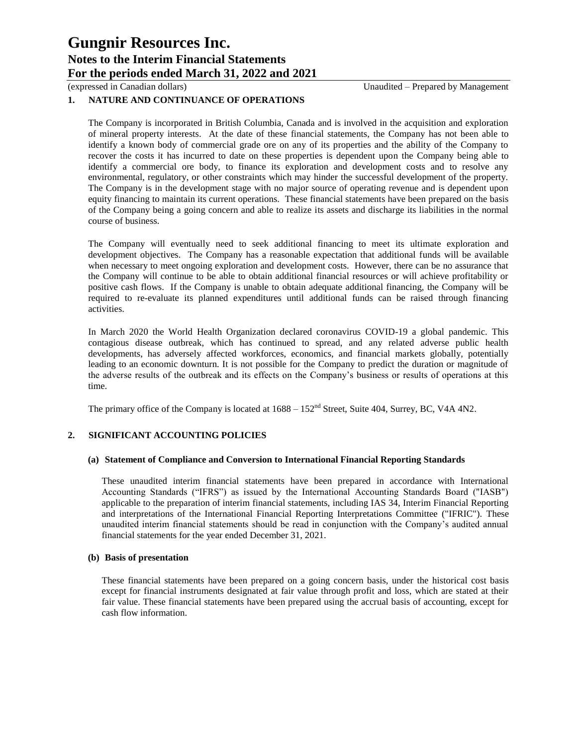### **1. NATURE AND CONTINUANCE OF OPERATIONS**

The Company is incorporated in British Columbia, Canada and is involved in the acquisition and exploration of mineral property interests. At the date of these financial statements, the Company has not been able to identify a known body of commercial grade ore on any of its properties and the ability of the Company to recover the costs it has incurred to date on these properties is dependent upon the Company being able to identify a commercial ore body, to finance its exploration and development costs and to resolve any environmental, regulatory, or other constraints which may hinder the successful development of the property. The Company is in the development stage with no major source of operating revenue and is dependent upon equity financing to maintain its current operations. These financial statements have been prepared on the basis of the Company being a going concern and able to realize its assets and discharge its liabilities in the normal course of business.

The Company will eventually need to seek additional financing to meet its ultimate exploration and development objectives. The Company has a reasonable expectation that additional funds will be available when necessary to meet ongoing exploration and development costs. However, there can be no assurance that the Company will continue to be able to obtain additional financial resources or will achieve profitability or positive cash flows. If the Company is unable to obtain adequate additional financing, the Company will be required to re-evaluate its planned expenditures until additional funds can be raised through financing activities.

In March 2020 the World Health Organization declared coronavirus COVID-19 a global pandemic. This contagious disease outbreak, which has continued to spread, and any related adverse public health developments, has adversely affected workforces, economics, and financial markets globally, potentially leading to an economic downturn. It is not possible for the Company to predict the duration or magnitude of the adverse results of the outbreak and its effects on the Company's business or results of operations at this time.

The primary office of the Company is located at  $1688 - 152<sup>nd</sup>$  Street, Suite 404, Surrey, BC, V4A 4N2.

### **2. SIGNIFICANT ACCOUNTING POLICIES**

### **(a) Statement of Compliance and Conversion to International Financial Reporting Standards**

These unaudited interim financial statements have been prepared in accordance with International Accounting Standards ("IFRS") as issued by the International Accounting Standards Board ("IASB") applicable to the preparation of interim financial statements, including IAS 34, Interim Financial Reporting and interpretations of the International Financial Reporting Interpretations Committee ("IFRIC"). These unaudited interim financial statements should be read in conjunction with the Company's audited annual financial statements for the year ended December 31, 2021.

### **(b) Basis of presentation**

These financial statements have been prepared on a going concern basis, under the historical cost basis except for financial instruments designated at fair value through profit and loss, which are stated at their fair value. These financial statements have been prepared using the accrual basis of accounting, except for cash flow information.

(expressed in Canadian dollars) Unaudited – Prepared by Management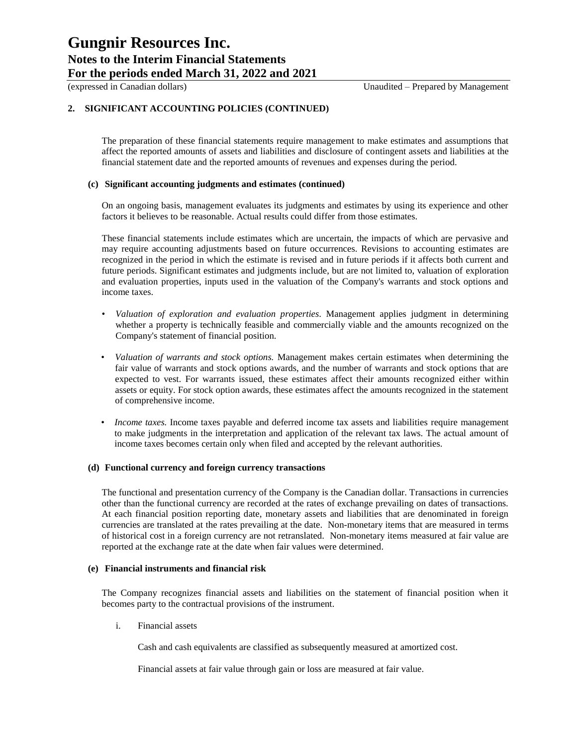### **2. SIGNIFICANT ACCOUNTING POLICIES (CONTINUED)**

The preparation of these financial statements require management to make estimates and assumptions that affect the reported amounts of assets and liabilities and disclosure of contingent assets and liabilities at the financial statement date and the reported amounts of revenues and expenses during the period.

#### **(c) Significant accounting judgments and estimates (continued)**

On an ongoing basis, management evaluates its judgments and estimates by using its experience and other factors it believes to be reasonable. Actual results could differ from those estimates.

These financial statements include estimates which are uncertain, the impacts of which are pervasive and may require accounting adjustments based on future occurrences. Revisions to accounting estimates are recognized in the period in which the estimate is revised and in future periods if it affects both current and future periods. Significant estimates and judgments include, but are not limited to, valuation of exploration and evaluation properties, inputs used in the valuation of the Company's warrants and stock options and income taxes.

- *Valuation of exploration and evaluation properties*. Management applies judgment in determining whether a property is technically feasible and commercially viable and the amounts recognized on the Company's statement of financial position.
- *Valuation of warrants and stock options.* Management makes certain estimates when determining the fair value of warrants and stock options awards, and the number of warrants and stock options that are expected to vest. For warrants issued, these estimates affect their amounts recognized either within assets or equity. For stock option awards, these estimates affect the amounts recognized in the statement of comprehensive income.
- *Income taxes.* Income taxes payable and deferred income tax assets and liabilities require management to make judgments in the interpretation and application of the relevant tax laws. The actual amount of income taxes becomes certain only when filed and accepted by the relevant authorities.

#### **(d) Functional currency and foreign currency transactions**

The functional and presentation currency of the Company is the Canadian dollar. Transactions in currencies other than the functional currency are recorded at the rates of exchange prevailing on dates of transactions. At each financial position reporting date, monetary assets and liabilities that are denominated in foreign currencies are translated at the rates prevailing at the date. Non-monetary items that are measured in terms of historical cost in a foreign currency are not retranslated. Non-monetary items measured at fair value are reported at the exchange rate at the date when fair values were determined.

#### **(e) Financial instruments and financial risk**

The Company recognizes financial assets and liabilities on the statement of financial position when it becomes party to the contractual provisions of the instrument.

i. Financial assets

Cash and cash equivalents are classified as subsequently measured at amortized cost.

Financial assets at fair value through gain or loss are measured at fair value.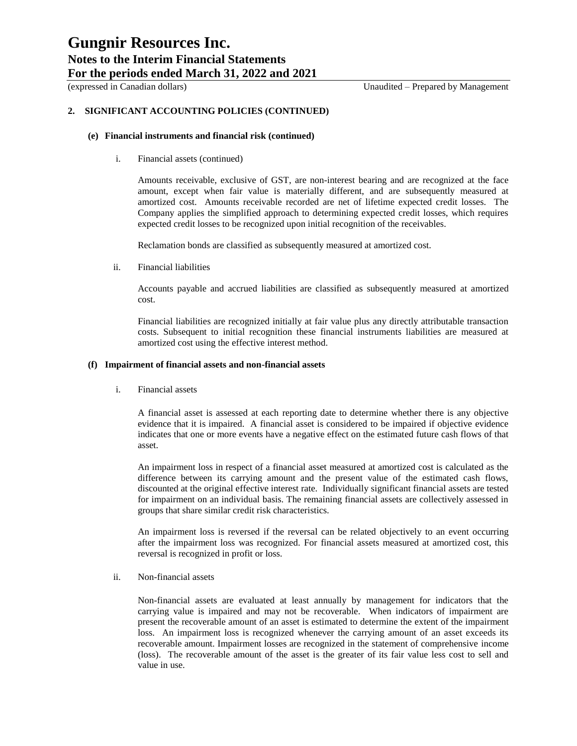### (expressed in Canadian dollars) Unaudited – Prepared by Management

### **2. SIGNIFICANT ACCOUNTING POLICIES (CONTINUED)**

#### **(e) Financial instruments and financial risk (continued)**

i. Financial assets (continued)

Amounts receivable, exclusive of GST, are non-interest bearing and are recognized at the face amount, except when fair value is materially different, and are subsequently measured at amortized cost. Amounts receivable recorded are net of lifetime expected credit losses. The Company applies the simplified approach to determining expected credit losses, which requires expected credit losses to be recognized upon initial recognition of the receivables.

Reclamation bonds are classified as subsequently measured at amortized cost.

ii. Financial liabilities

Accounts payable and accrued liabilities are classified as subsequently measured at amortized cost.

Financial liabilities are recognized initially at fair value plus any directly attributable transaction costs. Subsequent to initial recognition these financial instruments liabilities are measured at amortized cost using the effective interest method.

#### **(f) Impairment of financial assets and non-financial assets**

i. Financial assets

A financial asset is assessed at each reporting date to determine whether there is any objective evidence that it is impaired. A financial asset is considered to be impaired if objective evidence indicates that one or more events have a negative effect on the estimated future cash flows of that asset.

An impairment loss in respect of a financial asset measured at amortized cost is calculated as the difference between its carrying amount and the present value of the estimated cash flows, discounted at the original effective interest rate. Individually significant financial assets are tested for impairment on an individual basis. The remaining financial assets are collectively assessed in groups that share similar credit risk characteristics.

An impairment loss is reversed if the reversal can be related objectively to an event occurring after the impairment loss was recognized. For financial assets measured at amortized cost, this reversal is recognized in profit or loss.

ii. Non-financial assets

Non-financial assets are evaluated at least annually by management for indicators that the carrying value is impaired and may not be recoverable. When indicators of impairment are present the recoverable amount of an asset is estimated to determine the extent of the impairment loss. An impairment loss is recognized whenever the carrying amount of an asset exceeds its recoverable amount. Impairment losses are recognized in the statement of comprehensive income (loss). The recoverable amount of the asset is the greater of its fair value less cost to sell and value in use.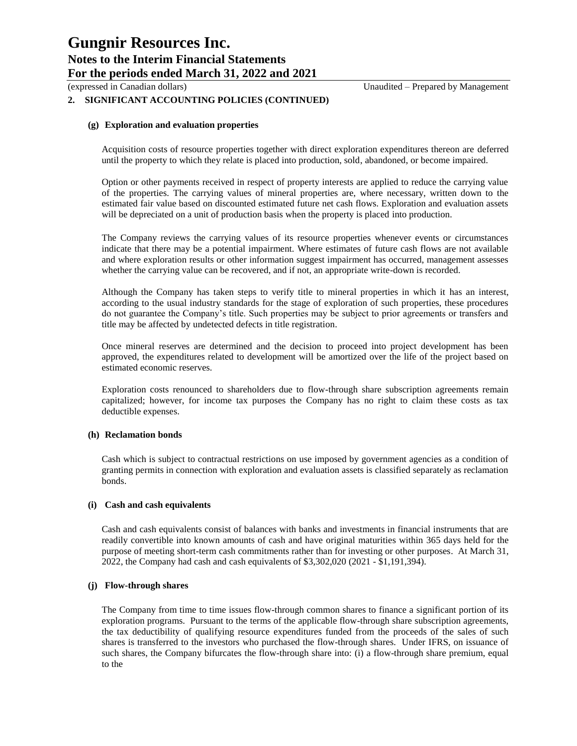(expressed in Canadian dollars) Unaudited – Prepared by Management

### **2. SIGNIFICANT ACCOUNTING POLICIES (CONTINUED)**

### **(g) Exploration and evaluation properties**

Acquisition costs of resource properties together with direct exploration expenditures thereon are deferred until the property to which they relate is placed into production, sold, abandoned, or become impaired.

Option or other payments received in respect of property interests are applied to reduce the carrying value of the properties. The carrying values of mineral properties are, where necessary, written down to the estimated fair value based on discounted estimated future net cash flows. Exploration and evaluation assets will be depreciated on a unit of production basis when the property is placed into production.

The Company reviews the carrying values of its resource properties whenever events or circumstances indicate that there may be a potential impairment. Where estimates of future cash flows are not available and where exploration results or other information suggest impairment has occurred, management assesses whether the carrying value can be recovered, and if not, an appropriate write-down is recorded.

Although the Company has taken steps to verify title to mineral properties in which it has an interest, according to the usual industry standards for the stage of exploration of such properties, these procedures do not guarantee the Company's title. Such properties may be subject to prior agreements or transfers and title may be affected by undetected defects in title registration.

Once mineral reserves are determined and the decision to proceed into project development has been approved, the expenditures related to development will be amortized over the life of the project based on estimated economic reserves.

Exploration costs renounced to shareholders due to flow-through share subscription agreements remain capitalized; however, for income tax purposes the Company has no right to claim these costs as tax deductible expenses.

### **(h) Reclamation bonds**

Cash which is subject to contractual restrictions on use imposed by government agencies as a condition of granting permits in connection with exploration and evaluation assets is classified separately as reclamation bonds.

### **(i) Cash and cash equivalents**

Cash and cash equivalents consist of balances with banks and investments in financial instruments that are readily convertible into known amounts of cash and have original maturities within 365 days held for the purpose of meeting short-term cash commitments rather than for investing or other purposes. At March 31, 2022, the Company had cash and cash equivalents of \$3,302,020 (2021 - \$1,191,394).

### **(j) Flow-through shares**

The Company from time to time issues flow-through common shares to finance a significant portion of its exploration programs. Pursuant to the terms of the applicable flow-through share subscription agreements, the tax deductibility of qualifying resource expenditures funded from the proceeds of the sales of such shares is transferred to the investors who purchased the flow-through shares. Under IFRS, on issuance of such shares, the Company bifurcates the flow-through share into: (i) a flow-through share premium, equal to the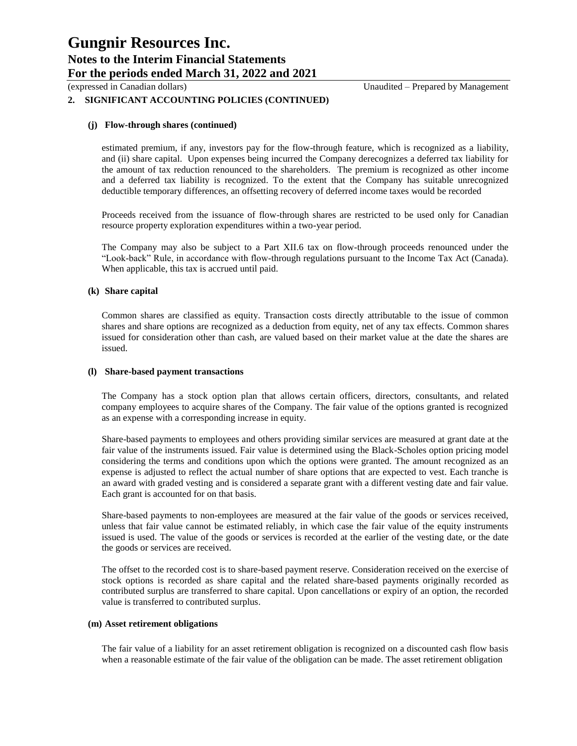(expressed in Canadian dollars) Unaudited – Prepared by Management

### **2. SIGNIFICANT ACCOUNTING POLICIES (CONTINUED)**

### **(j) Flow-through shares (continued)**

estimated premium, if any, investors pay for the flow-through feature, which is recognized as a liability, and (ii) share capital. Upon expenses being incurred the Company derecognizes a deferred tax liability for the amount of tax reduction renounced to the shareholders. The premium is recognized as other income and a deferred tax liability is recognized. To the extent that the Company has suitable unrecognized deductible temporary differences, an offsetting recovery of deferred income taxes would be recorded

Proceeds received from the issuance of flow-through shares are restricted to be used only for Canadian resource property exploration expenditures within a two-year period.

The Company may also be subject to a Part XII.6 tax on flow-through proceeds renounced under the "Look-back" Rule, in accordance with flow-through regulations pursuant to the Income Tax Act (Canada). When applicable, this tax is accrued until paid.

#### **(k) Share capital**

Common shares are classified as equity. Transaction costs directly attributable to the issue of common shares and share options are recognized as a deduction from equity, net of any tax effects. Common shares issued for consideration other than cash, are valued based on their market value at the date the shares are issued.

#### **(l) Share-based payment transactions**

The Company has a stock option plan that allows certain officers, directors, consultants, and related company employees to acquire shares of the Company. The fair value of the options granted is recognized as an expense with a corresponding increase in equity.

Share-based payments to employees and others providing similar services are measured at grant date at the fair value of the instruments issued. Fair value is determined using the Black-Scholes option pricing model considering the terms and conditions upon which the options were granted. The amount recognized as an expense is adjusted to reflect the actual number of share options that are expected to vest. Each tranche is an award with graded vesting and is considered a separate grant with a different vesting date and fair value. Each grant is accounted for on that basis.

Share-based payments to non-employees are measured at the fair value of the goods or services received, unless that fair value cannot be estimated reliably, in which case the fair value of the equity instruments issued is used. The value of the goods or services is recorded at the earlier of the vesting date, or the date the goods or services are received.

The offset to the recorded cost is to share-based payment reserve. Consideration received on the exercise of stock options is recorded as share capital and the related share-based payments originally recorded as contributed surplus are transferred to share capital. Upon cancellations or expiry of an option, the recorded value is transferred to contributed surplus.

### **(m) Asset retirement obligations**

The fair value of a liability for an asset retirement obligation is recognized on a discounted cash flow basis when a reasonable estimate of the fair value of the obligation can be made. The asset retirement obligation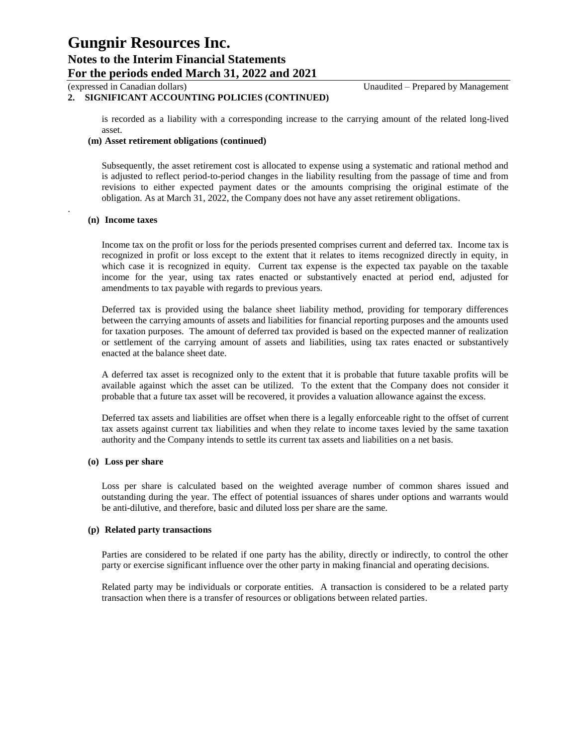### **2. SIGNIFICANT ACCOUNTING POLICIES (CONTINUED)**

is recorded as a liability with a corresponding increase to the carrying amount of the related long-lived asset.

#### **(m) Asset retirement obligations (continued)**

Subsequently, the asset retirement cost is allocated to expense using a systematic and rational method and is adjusted to reflect period-to-period changes in the liability resulting from the passage of time and from revisions to either expected payment dates or the amounts comprising the original estimate of the obligation. As at March 31, 2022, the Company does not have any asset retirement obligations.

### **(n) Income taxes**

.

Income tax on the profit or loss for the periods presented comprises current and deferred tax. Income tax is recognized in profit or loss except to the extent that it relates to items recognized directly in equity, in which case it is recognized in equity. Current tax expense is the expected tax payable on the taxable income for the year, using tax rates enacted or substantively enacted at period end, adjusted for amendments to tax payable with regards to previous years.

Deferred tax is provided using the balance sheet liability method, providing for temporary differences between the carrying amounts of assets and liabilities for financial reporting purposes and the amounts used for taxation purposes. The amount of deferred tax provided is based on the expected manner of realization or settlement of the carrying amount of assets and liabilities, using tax rates enacted or substantively enacted at the balance sheet date.

A deferred tax asset is recognized only to the extent that it is probable that future taxable profits will be available against which the asset can be utilized. To the extent that the Company does not consider it probable that a future tax asset will be recovered, it provides a valuation allowance against the excess.

Deferred tax assets and liabilities are offset when there is a legally enforceable right to the offset of current tax assets against current tax liabilities and when they relate to income taxes levied by the same taxation authority and the Company intends to settle its current tax assets and liabilities on a net basis.

### **(o) Loss per share**

Loss per share is calculated based on the weighted average number of common shares issued and outstanding during the year. The effect of potential issuances of shares under options and warrants would be anti-dilutive, and therefore, basic and diluted loss per share are the same.

#### **(p) Related party transactions**

Parties are considered to be related if one party has the ability, directly or indirectly, to control the other party or exercise significant influence over the other party in making financial and operating decisions.

Related party may be individuals or corporate entities. A transaction is considered to be a related party transaction when there is a transfer of resources or obligations between related parties.

(expressed in Canadian dollars) Unaudited – Prepared by Management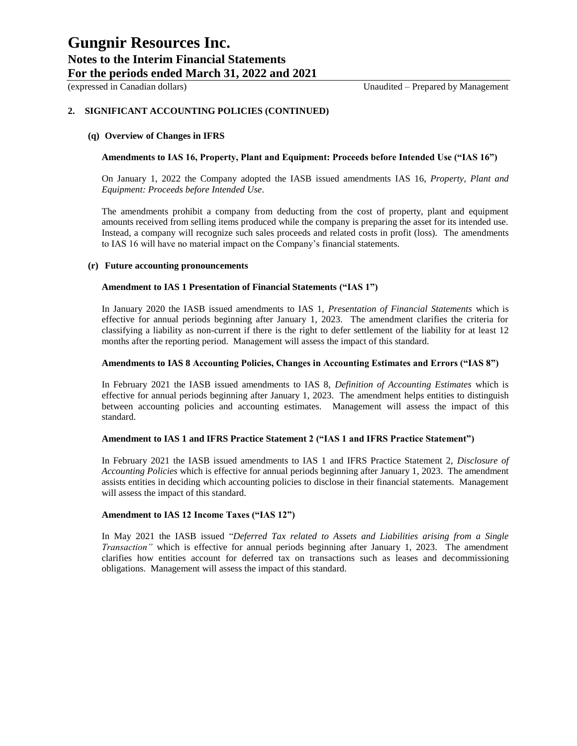### **2. SIGNIFICANT ACCOUNTING POLICIES (CONTINUED)**

#### **(q) Overview of Changes in IFRS**

#### **Amendments to IAS 16, Property, Plant and Equipment: Proceeds before Intended Use ("IAS 16")**

On January 1, 2022 the Company adopted the IASB issued amendments IAS 16, *Property, Plant and Equipment: Proceeds before Intended Use*.

The amendments prohibit a company from deducting from the cost of property, plant and equipment amounts received from selling items produced while the company is preparing the asset for its intended use. Instead, a company will recognize such sales proceeds and related costs in profit (loss). The amendments to IAS 16 will have no material impact on the Company's financial statements.

#### **(r) Future accounting pronouncements**

### **Amendment to IAS 1 Presentation of Financial Statements ("IAS 1")**

In January 2020 the IASB issued amendments to IAS 1, *Presentation of Financial Statements* which is effective for annual periods beginning after January 1, 2023. The amendment clarifies the criteria for classifying a liability as non-current if there is the right to defer settlement of the liability for at least 12 months after the reporting period. Management will assess the impact of this standard.

#### **Amendments to IAS 8 Accounting Policies, Changes in Accounting Estimates and Errors ("IAS 8")**

In February 2021 the IASB issued amendments to IAS 8, *Definition of Accounting Estimates* which is effective for annual periods beginning after January 1, 2023. The amendment helps entities to distinguish between accounting policies and accounting estimates. Management will assess the impact of this standard.

#### **Amendment to IAS 1 and IFRS Practice Statement 2 ("IAS 1 and IFRS Practice Statement")**

In February 2021 the IASB issued amendments to IAS 1 and IFRS Practice Statement 2, *Disclosure of Accounting Policies* which is effective for annual periods beginning after January 1, 2023. The amendment assists entities in deciding which accounting policies to disclose in their financial statements. Management will assess the impact of this standard.

#### **Amendment to IAS 12 Income Taxes ("IAS 12")**

In May 2021 the IASB issued "*Deferred Tax related to Assets and Liabilities arising from a Single Transaction"* which is effective for annual periods beginning after January 1, 2023. The amendment clarifies how entities account for deferred tax on transactions such as leases and decommissioning obligations. Management will assess the impact of this standard.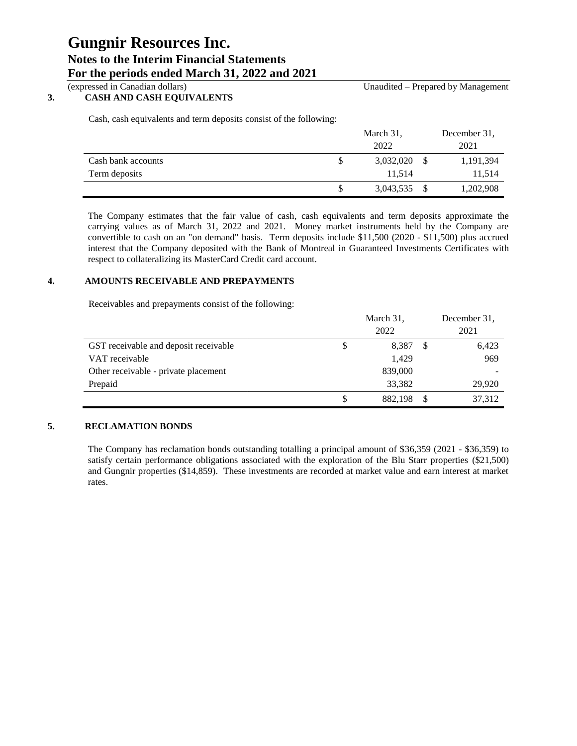### **3. CASH AND CASH EQUIVALENTS**

(expressed in Canadian dollars) Unaudited – Prepared by Management

Cash, cash equivalents and term deposits consist of the following:

|                    | March 31, | December 31. |  |
|--------------------|-----------|--------------|--|
|                    | 2022      | 2021         |  |
| Cash bank accounts | 3,032,020 | 1,191,394    |  |
| Term deposits      | 11.514    | 11,514       |  |
|                    | 3,043,535 | 1,202,908    |  |

The Company estimates that the fair value of cash, cash equivalents and term deposits approximate the carrying values as of March 31, 2022 and 2021. Money market instruments held by the Company are convertible to cash on an "on demand" basis. Term deposits include \$11,500 (2020 - \$11,500) plus accrued interest that the Company deposited with the Bank of Montreal in Guaranteed Investments Certificates with respect to collateralizing its MasterCard Credit card account.

### **4. AMOUNTS RECEIVABLE AND PREPAYMENTS**

Receivables and prepayments consist of the following:

|                                       | March 31, |         |  | December 31. |  |  |
|---------------------------------------|-----------|---------|--|--------------|--|--|
|                                       |           | 2022    |  | 2021         |  |  |
| GST receivable and deposit receivable | S         | 8.387   |  | 6,423        |  |  |
| VAT receivable                        |           | 1.429   |  | 969          |  |  |
| Other receivable - private placement  |           | 839,000 |  |              |  |  |
| Prepaid                               |           | 33,382  |  | 29,920       |  |  |
|                                       | S         | 882.198 |  | 37,312       |  |  |

### **5. RECLAMATION BONDS**

The Company has reclamation bonds outstanding totalling a principal amount of \$36,359 (2021 - \$36,359) to satisfy certain performance obligations associated with the exploration of the Blu Starr properties (\$21,500) and Gungnir properties (\$14,859). These investments are recorded at market value and earn interest at market rates.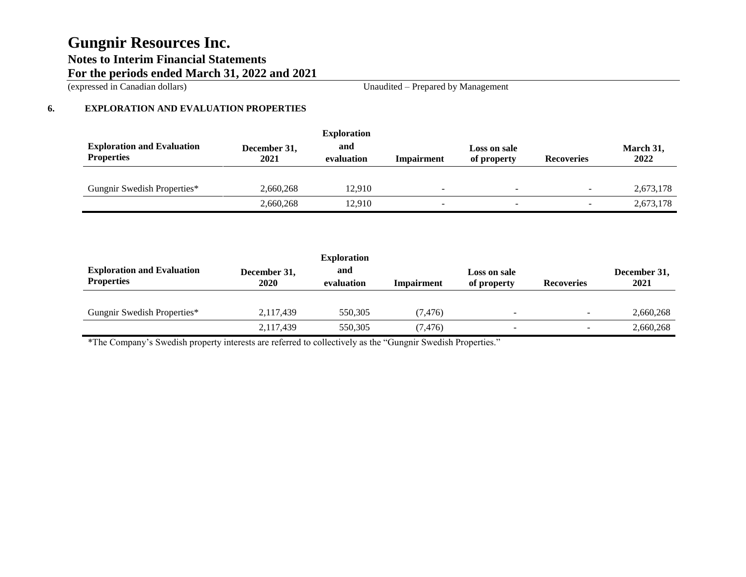(expressed in Canadian dollars) Unaudited – Prepared by Management

### **6. EXPLORATION AND EVALUATION PROPERTIES**

|                                                        |                      | <b>Exploration</b> |            |                             |                   |                   |
|--------------------------------------------------------|----------------------|--------------------|------------|-----------------------------|-------------------|-------------------|
| <b>Exploration and Evaluation</b><br><b>Properties</b> | December 31,<br>2021 | and<br>evaluation  | Impairment | Loss on sale<br>of property | <b>Recoveries</b> | March 31,<br>2022 |
|                                                        |                      |                    |            |                             |                   |                   |
| Gungnir Swedish Properties*                            | 2,660,268            | 12.910             | -          | $\overline{\phantom{0}}$    |                   | 2,673,178         |
|                                                        | 2,660,268            | 12.910             | -          | $\overline{\phantom{a}}$    |                   | 2,673,178         |

|                                                        |                      | <b>Exploration</b> |            |                             |                          |                      |
|--------------------------------------------------------|----------------------|--------------------|------------|-----------------------------|--------------------------|----------------------|
| <b>Exploration and Evaluation</b><br><b>Properties</b> | December 31,<br>2020 | and<br>evaluation  | Impairment | Loss on sale<br>of property | <b>Recoveries</b>        | December 31,<br>2021 |
|                                                        |                      |                    |            |                             |                          |                      |
| Gungnir Swedish Properties*                            | 2.117.439            | 550.305            | (7.476)    | $\overline{\phantom{a}}$    | $\overline{\phantom{0}}$ | 2,660,268            |
|                                                        | 2,117,439            | 550,305            | (7, 476)   | $\overline{\phantom{a}}$    | $\overline{\phantom{0}}$ | 2,660,268            |

\*The Company's Swedish property interests are referred to collectively as the "Gungnir Swedish Properties."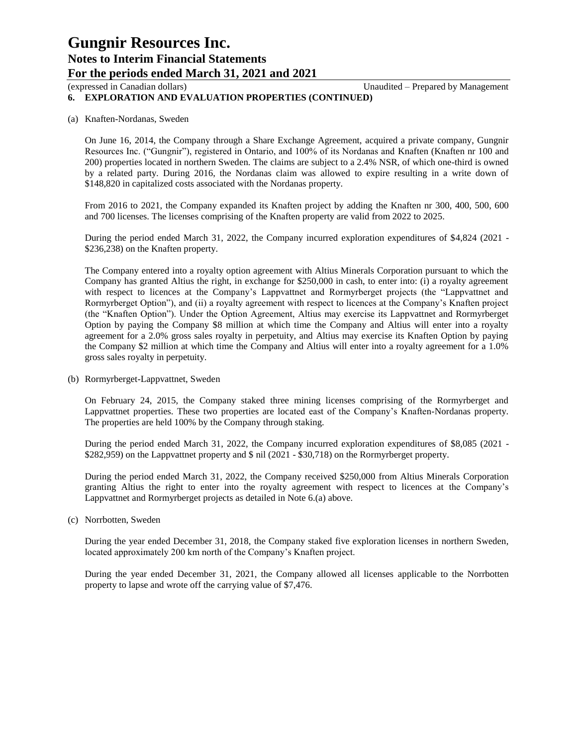(expressed in Canadian dollars) Unaudited – Prepared by Management

### **6. EXPLORATION AND EVALUATION PROPERTIES (CONTINUED)**

### (a) Knaften-Nordanas, Sweden

On June 16, 2014, the Company through a Share Exchange Agreement, acquired a private company, Gungnir Resources Inc. ("Gungnir"), registered in Ontario, and 100% of its Nordanas and Knaften (Knaften nr 100 and 200) properties located in northern Sweden. The claims are subject to a 2.4% NSR, of which one-third is owned by a related party. During 2016, the Nordanas claim was allowed to expire resulting in a write down of \$148,820 in capitalized costs associated with the Nordanas property.

From 2016 to 2021, the Company expanded its Knaften project by adding the Knaften nr 300, 400, 500, 600 and 700 licenses. The licenses comprising of the Knaften property are valid from 2022 to 2025.

During the period ended March 31, 2022, the Company incurred exploration expenditures of \$4,824 (2021 - \$236,238) on the Knaften property.

The Company entered into a royalty option agreement with Altius Minerals Corporation pursuant to which the Company has granted Altius the right, in exchange for \$250,000 in cash, to enter into: (i) a royalty agreement with respect to licences at the Company's Lappvattnet and Rormyrberget projects (the "Lappvattnet and Rormyrberget Option"), and (ii) a royalty agreement with respect to licences at the Company's Knaften project (the "Knaften Option"). Under the Option Agreement, Altius may exercise its Lappvattnet and Rormyrberget Option by paying the Company \$8 million at which time the Company and Altius will enter into a royalty agreement for a 2.0% gross sales royalty in perpetuity, and Altius may exercise its Knaften Option by paying the Company \$2 million at which time the Company and Altius will enter into a royalty agreement for a 1.0% gross sales royalty in perpetuity.

(b) Rormyrberget-Lappvattnet, Sweden

On February 24, 2015, the Company staked three mining licenses comprising of the Rormyrberget and Lappvattnet properties. These two properties are located east of the Company's Knaften-Nordanas property. The properties are held 100% by the Company through staking.

During the period ended March 31, 2022, the Company incurred exploration expenditures of \$8,085 (2021 - \$282,959) on the Lappvattnet property and \$ nil (2021 - \$30,718) on the Rormyrberget property.

During the period ended March 31, 2022, the Company received \$250,000 from Altius Minerals Corporation granting Altius the right to enter into the royalty agreement with respect to licences at the Company's Lappvattnet and Rormyrberget projects as detailed in Note 6.(a) above.

(c) Norrbotten, Sweden

During the year ended December 31, 2018, the Company staked five exploration licenses in northern Sweden, located approximately 200 km north of the Company's Knaften project.

During the year ended December 31, 2021, the Company allowed all licenses applicable to the Norrbotten property to lapse and wrote off the carrying value of \$7,476.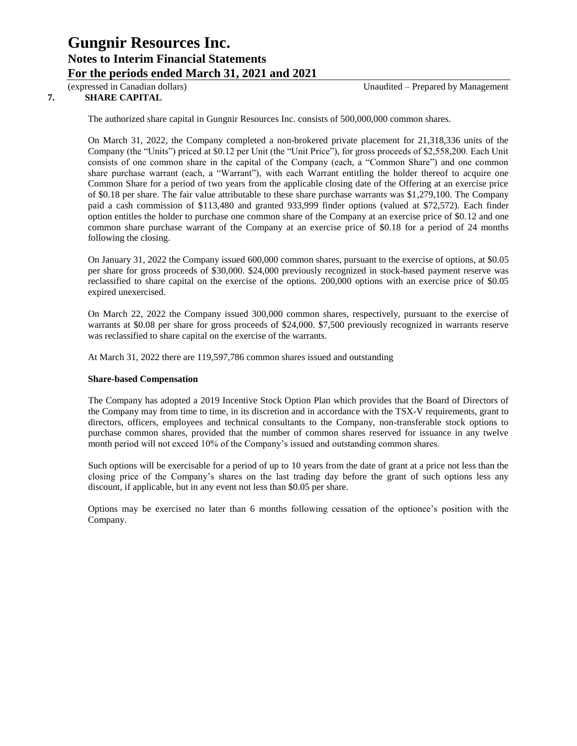### **7. SHARE CAPITAL**

The authorized share capital in Gungnir Resources Inc. consists of 500,000,000 common shares.

On March 31, 2022, the Company completed a non-brokered private placement for 21,318,336 units of the Company (the "Units") priced at \$0.12 per Unit (the "Unit Price"), for gross proceeds of \$2,558,200. Each Unit consists of one common share in the capital of the Company (each, a "Common Share") and one common share purchase warrant (each, a "Warrant"), with each Warrant entitling the holder thereof to acquire one Common Share for a period of two years from the applicable closing date of the Offering at an exercise price of \$0.18 per share. The fair value attributable to these share purchase warrants was \$1,279,100. The Company paid a cash commission of \$113,480 and granted 933,999 finder options (valued at \$72,572). Each finder option entitles the holder to purchase one common share of the Company at an exercise price of \$0.12 and one common share purchase warrant of the Company at an exercise price of \$0.18 for a period of 24 months following the closing.

On January 31, 2022 the Company issued 600,000 common shares, pursuant to the exercise of options, at \$0.05 per share for gross proceeds of \$30,000. \$24,000 previously recognized in stock-based payment reserve was reclassified to share capital on the exercise of the options. 200,000 options with an exercise price of \$0.05 expired unexercised.

On March 22, 2022 the Company issued 300,000 common shares, respectively, pursuant to the exercise of warrants at \$0.08 per share for gross proceeds of \$24,000. \$7,500 previously recognized in warrants reserve was reclassified to share capital on the exercise of the warrants.

At March 31, 2022 there are 119,597,786 common shares issued and outstanding

### **Share-based Compensation**

The Company has adopted a 2019 Incentive Stock Option Plan which provides that the Board of Directors of the Company may from time to time, in its discretion and in accordance with the TSX-V requirements, grant to directors, officers, employees and technical consultants to the Company, non-transferable stock options to purchase common shares, provided that the number of common shares reserved for issuance in any twelve month period will not exceed 10% of the Company's issued and outstanding common shares.

Such options will be exercisable for a period of up to 10 years from the date of grant at a price not less than the closing price of the Company's shares on the last trading day before the grant of such options less any discount, if applicable, but in any event not less than \$0.05 per share.

Options may be exercised no later than 6 months following cessation of the optionee's position with the Company.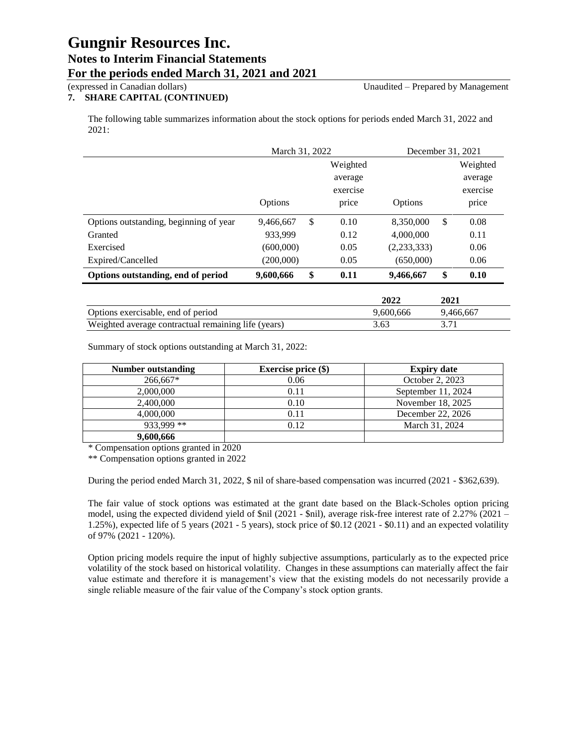### **7. SHARE CAPITAL (CONTINUED)**

(expressed in Canadian dollars) Unaudited – Prepared by Management

The following table summarizes information about the stock options for periods ended March 31, 2022 and 2021:

|                                        | March 31, 2022 |    |          | December 31, 2021 |    |          |
|----------------------------------------|----------------|----|----------|-------------------|----|----------|
|                                        |                |    | Weighted |                   |    | Weighted |
|                                        |                |    | average  |                   |    | average  |
|                                        |                |    | exercise |                   |    | exercise |
|                                        | <b>Options</b> |    | price    | Options           |    | price    |
| Options outstanding, beginning of year | 9,466,667      | -S | 0.10     | 8,350,000         | \$ | 0.08     |
| Granted                                | 933.999        |    | 0.12     | 4,000,000         |    | 0.11     |
| Exercised                              | (600,000)      |    | 0.05     | (2,233,333)       |    | 0.06     |
| Expired/Cancelled                      | (200,000)      |    | 0.05     | (650,000)         |    | 0.06     |
| Options outstanding, end of period     | 9,600,666      | \$ | 0.11     | 9,466,667         | \$ | 0.10     |

|                                                     | 2022      | 2021      |
|-----------------------------------------------------|-----------|-----------|
| Options exercisable, end of period                  | 9.600.666 | 9.466.667 |
| Weighted average contractual remaining life (years) | 3.63      |           |

Summary of stock options outstanding at March 31, 2022:

| Number outstanding | Exercise price $(\$)$ | <b>Expiry date</b> |
|--------------------|-----------------------|--------------------|
| 266,667*           | 0.06                  | October 2, 2023    |
| 2,000,000          | 0.11                  | September 11, 2024 |
| 2,400,000          | 0.10                  | November 18, 2025  |
| 4,000,000          | 0.11                  | December 22, 2026  |
| 933,999 **         | 0.12                  | March 31, 2024     |
| 9,600,666          |                       |                    |

\* Compensation options granted in 2020

\*\* Compensation options granted in 2022

During the period ended March 31, 2022, \$ nil of share-based compensation was incurred (2021 - \$362,639).

The fair value of stock options was estimated at the grant date based on the Black-Scholes option pricing model, using the expected dividend yield of \$nil (2021 - \$nil), average risk-free interest rate of 2.27% (2021 – 1.25%), expected life of 5 years (2021 - 5 years), stock price of \$0.12 (2021 - \$0.11) and an expected volatility of 97% (2021 - 120%).

Option pricing models require the input of highly subjective assumptions, particularly as to the expected price volatility of the stock based on historical volatility. Changes in these assumptions can materially affect the fair value estimate and therefore it is management's view that the existing models do not necessarily provide a single reliable measure of the fair value of the Company's stock option grants.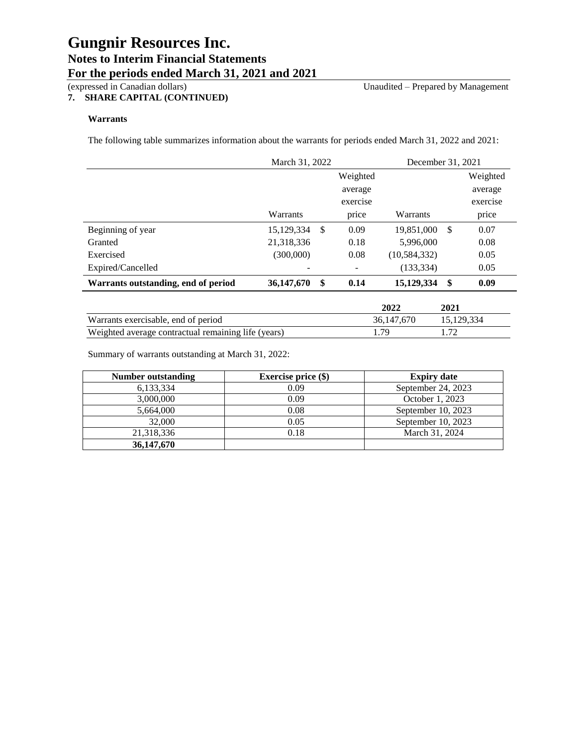### **7. SHARE CAPITAL (CONTINUED)**

(expressed in Canadian dollars) Unaudited – Prepared by Management

### **Warrants**

The following table summarizes information about the warrants for periods ended March 31, 2022 and 2021:

|                                     | March 31, 2022 |    |          | December 31, 2021 |     |          |
|-------------------------------------|----------------|----|----------|-------------------|-----|----------|
|                                     |                |    | Weighted |                   |     | Weighted |
|                                     |                |    | average  |                   |     | average  |
|                                     |                |    | exercise |                   |     | exercise |
|                                     | Warrants       |    | price    | Warrants          |     | price    |
| Beginning of year                   | 15, 129, 334   | \$ | 0.09     | 19,851,000        | \$. | 0.07     |
| Granted                             | 21,318,336     |    | 0.18     | 5,996,000         |     | 0.08     |
| Exercised                           | (300,000)      |    | 0.08     | (10, 584, 332)    |     | 0.05     |
| Expired/Cancelled                   |                |    |          | (133, 334)        |     | 0.05     |
| Warrants outstanding, end of period | 36,147,670     | \$ | 0.14     | 15,129,334        | \$  | 0.09     |

|                                                     | 2022       | 2021       |
|-----------------------------------------------------|------------|------------|
| Warrants exercisable, end of period                 | 36,147,670 | 15.129.334 |
| Weighted average contractual remaining life (years) | .79        |            |

Summary of warrants outstanding at March 31, 2022:

| Number outstanding | <b>Exercise price (\$)</b> | <b>Expiry date</b> |
|--------------------|----------------------------|--------------------|
| 6,133,334          | 0.09                       | September 24, 2023 |
| 3,000,000          | 0.09                       | October 1, 2023    |
| 5,664,000          | 0.08                       | September 10, 2023 |
| 32,000             | 0.05                       | September 10, 2023 |
| 21,318,336         | 0.18                       | March 31, 2024     |
| 36,147,670         |                            |                    |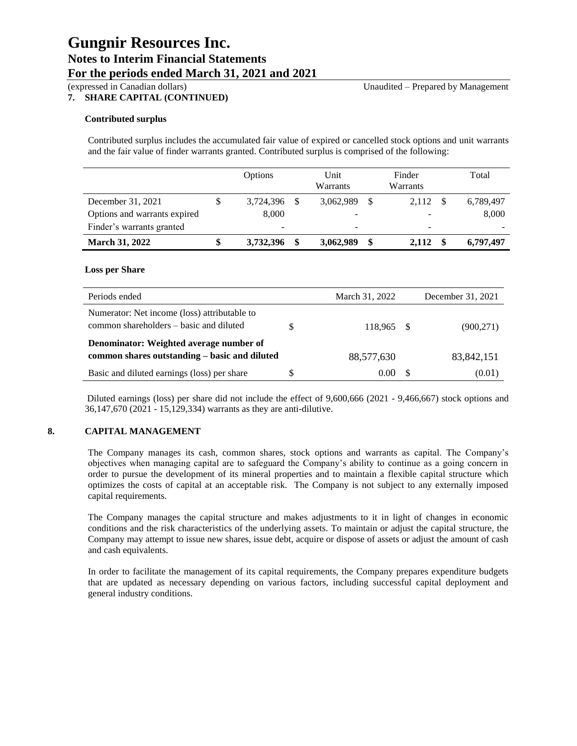### **7. SHARE CAPITAL (CONTINUED)**

### (expressed in Canadian dollars) Unaudited – Prepared by Management

### **Contributed surplus**

Contributed surplus includes the accumulated fair value of expired or cancelled stock options and unit warrants and the fair value of finder warrants granted. Contributed surplus is comprised of the following:

|                              | Options   | Unit<br>Warrants | Finder<br>Warrants |               | Total     |
|------------------------------|-----------|------------------|--------------------|---------------|-----------|
| December 31, 2021            | 3,724,396 | 3,062,989        | 2.112              | <sup>\$</sup> | 6,789,497 |
| Options and warrants expired | 8,000     |                  |                    |               | 8,000     |
| Finder's warrants granted    | -         | -                | -                  |               |           |
| <b>March 31, 2022</b>        | 3,732,396 | 3,062,989        | \$<br>2.112        |               | 6,797,497 |

### **Loss per Share**

| Periods ended                                                                           |   | March 31, 2022 |     | December 31, 2021 |
|-----------------------------------------------------------------------------------------|---|----------------|-----|-------------------|
| Numerator: Net income (loss) attributable to<br>common shareholders – basic and diluted |   | 118.965        | - S | (900, 271)        |
| Denominator: Weighted average number of                                                 |   |                |     |                   |
| common shares outstanding – basic and diluted                                           |   | 88,577,630     |     | 83, 842, 151      |
| Basic and diluted earnings (loss) per share                                             | S | 0.00           |     | (0.01)            |

Diluted earnings (loss) per share did not include the effect of 9,600,666 (2021 - 9,466,667) stock options and 36,147,670 (2021 - 15,129,334) warrants as they are anti-dilutive.

### **8. CAPITAL MANAGEMENT**

The Company manages its cash, common shares, stock options and warrants as capital. The Company's objectives when managing capital are to safeguard the Company's ability to continue as a going concern in order to pursue the development of its mineral properties and to maintain a flexible capital structure which optimizes the costs of capital at an acceptable risk. The Company is not subject to any externally imposed capital requirements.

The Company manages the capital structure and makes adjustments to it in light of changes in economic conditions and the risk characteristics of the underlying assets. To maintain or adjust the capital structure, the Company may attempt to issue new shares, issue debt, acquire or dispose of assets or adjust the amount of cash and cash equivalents.

In order to facilitate the management of its capital requirements, the Company prepares expenditure budgets that are updated as necessary depending on various factors, including successful capital deployment and general industry conditions.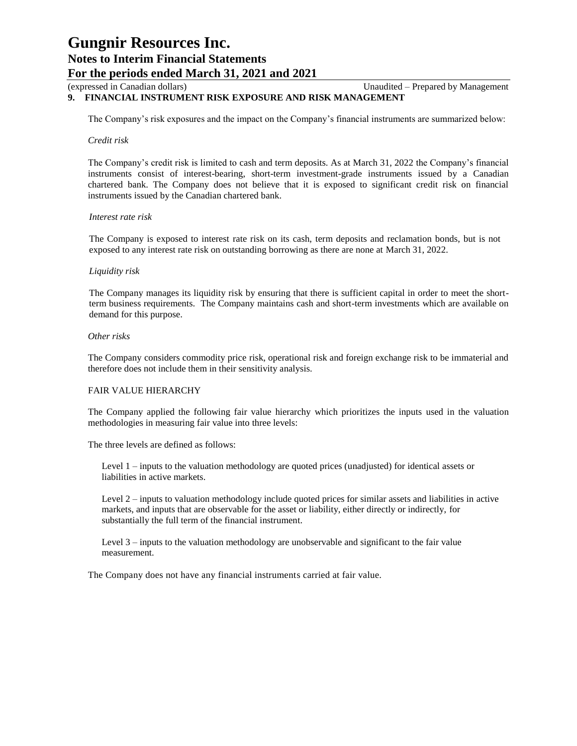### (expressed in Canadian dollars) Unaudited – Prepared by Management

### **9. FINANCIAL INSTRUMENT RISK EXPOSURE AND RISK MANAGEMENT**

The Company's risk exposures and the impact on the Company's financial instruments are summarized below:

### *Credit risk*

The Company's credit risk is limited to cash and term deposits. As at March 31, 2022 the Company's financial instruments consist of interest-bearing, short-term investment-grade instruments issued by a Canadian chartered bank. The Company does not believe that it is exposed to significant credit risk on financial instruments issued by the Canadian chartered bank.

#### *Interest rate risk*

The Company is exposed to interest rate risk on its cash, term deposits and reclamation bonds, but is not exposed to any interest rate risk on outstanding borrowing as there are none at March 31, 2022.

### *Liquidity risk*

The Company manages its liquidity risk by ensuring that there is sufficient capital in order to meet the shortterm business requirements. The Company maintains cash and short-term investments which are available on demand for this purpose.

### *Other risks*

The Company considers commodity price risk, operational risk and foreign exchange risk to be immaterial and therefore does not include them in their sensitivity analysis.

### FAIR VALUE HIERARCHY

The Company applied the following fair value hierarchy which prioritizes the inputs used in the valuation methodologies in measuring fair value into three levels:

The three levels are defined as follows:

Level 1 – inputs to the valuation methodology are quoted prices (unadjusted) for identical assets or liabilities in active markets.

Level 2 – inputs to valuation methodology include quoted prices for similar assets and liabilities in active markets, and inputs that are observable for the asset or liability, either directly or indirectly, for substantially the full term of the financial instrument.

Level 3 – inputs to the valuation methodology are unobservable and significant to the fair value measurement.

The Company does not have any financial instruments carried at fair value.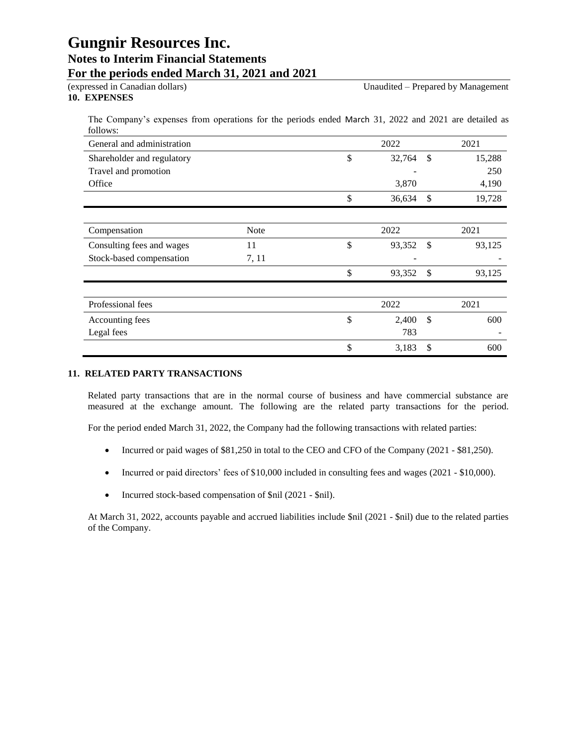### **10. EXPENSES**

The Company's expenses from operations for the periods ended March 31, 2022 and 2021 are detailed as follows:

| General and administration |       | 2022         |               | 2021   |
|----------------------------|-------|--------------|---------------|--------|
| Shareholder and regulatory |       | \$<br>32,764 | <sup>\$</sup> | 15,288 |
| Travel and promotion       |       |              |               | 250    |
| Office                     |       | 3,870        |               | 4,190  |
|                            |       | \$<br>36,634 | <sup>\$</sup> | 19,728 |
|                            |       |              |               |        |
| Compensation               | Note  | 2022         |               | 2021   |
| Consulting fees and wages  | 11    | \$<br>93,352 | \$            | 93,125 |
| Stock-based compensation   | 7, 11 |              |               |        |
|                            |       | \$<br>93,352 | \$            | 93,125 |
|                            |       |              |               |        |
| Professional fees          |       | 2022         |               | 2021   |
| Accounting fees            |       | \$<br>2,400  | \$            | 600    |
| Legal fees                 |       | 783          |               |        |
|                            |       | \$<br>3,183  | \$            | 600    |

### **11. RELATED PARTY TRANSACTIONS**

Related party transactions that are in the normal course of business and have commercial substance are measured at the exchange amount. The following are the related party transactions for the period.

For the period ended March 31, 2022, the Company had the following transactions with related parties:

- Incurred or paid wages of \$81,250 in total to the CEO and CFO of the Company (2021 \$81,250).
- Incurred or paid directors' fees of \$10,000 included in consulting fees and wages (2021 \$10,000).
- Incurred stock-based compensation of \$nil (2021 \$nil).

At March 31, 2022, accounts payable and accrued liabilities include \$nil (2021 - \$nil) due to the related parties of the Company.

(expressed in Canadian dollars) Unaudited – Prepared by Management